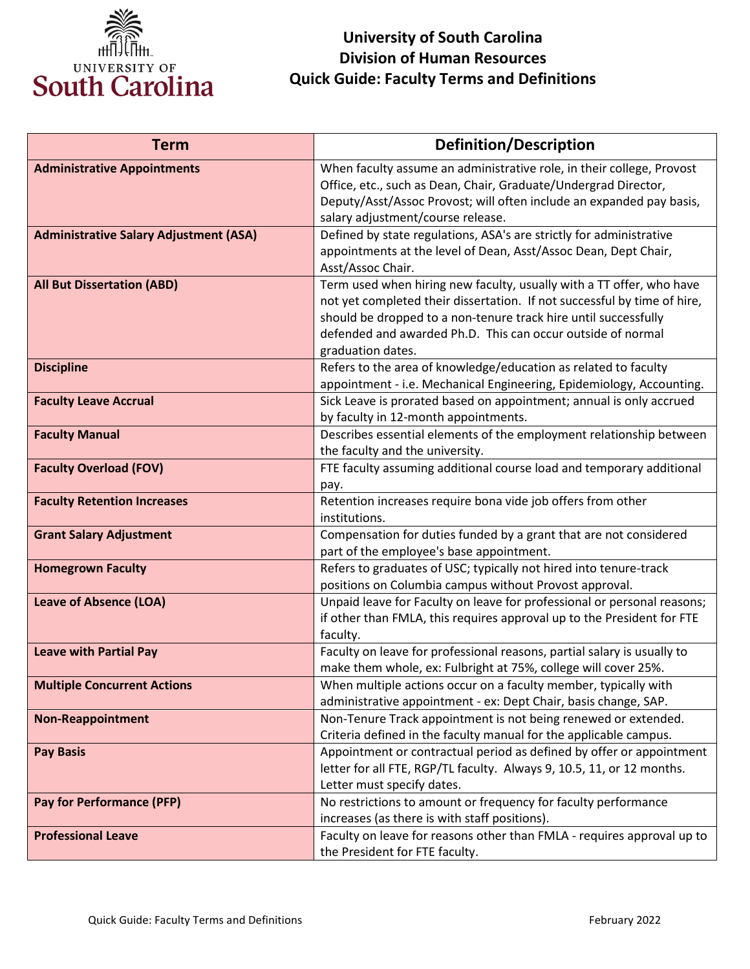

## **Quick Guide: Faculty Terms and Definitions University of South Carolina Division of Human Resources**

| <b>Term</b>                                   | <b>Definition/Description</b>                                                                                                                                                                                                                                                                           |
|-----------------------------------------------|---------------------------------------------------------------------------------------------------------------------------------------------------------------------------------------------------------------------------------------------------------------------------------------------------------|
| <b>Administrative Appointments</b>            | When faculty assume an administrative role, in their college, Provost<br>Office, etc., such as Dean, Chair, Graduate/Undergrad Director,<br>Deputy/Asst/Assoc Provost; will often include an expanded pay basis,<br>salary adjustment/course release.                                                   |
| <b>Administrative Salary Adjustment (ASA)</b> | Defined by state regulations, ASA's are strictly for administrative<br>appointments at the level of Dean, Asst/Assoc Dean, Dept Chair,<br>Asst/Assoc Chair.                                                                                                                                             |
| <b>All But Dissertation (ABD)</b>             | Term used when hiring new faculty, usually with a TT offer, who have<br>not yet completed their dissertation. If not successful by time of hire,<br>should be dropped to a non-tenure track hire until successfully<br>defended and awarded Ph.D. This can occur outside of normal<br>graduation dates. |
| <b>Discipline</b>                             | Refers to the area of knowledge/education as related to faculty<br>appointment - i.e. Mechanical Engineering, Epidemiology, Accounting.                                                                                                                                                                 |
| <b>Faculty Leave Accrual</b>                  | Sick Leave is prorated based on appointment; annual is only accrued<br>by faculty in 12-month appointments.                                                                                                                                                                                             |
| <b>Faculty Manual</b>                         | Describes essential elements of the employment relationship between<br>the faculty and the university.                                                                                                                                                                                                  |
| <b>Faculty Overload (FOV)</b>                 | FTE faculty assuming additional course load and temporary additional<br>pay.                                                                                                                                                                                                                            |
| <b>Faculty Retention Increases</b>            | Retention increases require bona vide job offers from other<br>institutions.                                                                                                                                                                                                                            |
| <b>Grant Salary Adjustment</b>                | Compensation for duties funded by a grant that are not considered<br>part of the employee's base appointment.                                                                                                                                                                                           |
| <b>Homegrown Faculty</b>                      | Refers to graduates of USC; typically not hired into tenure-track<br>positions on Columbia campus without Provost approval.                                                                                                                                                                             |
| <b>Leave of Absence (LOA)</b>                 | Unpaid leave for Faculty on leave for professional or personal reasons;<br>if other than FMLA, this requires approval up to the President for FTE<br>faculty.                                                                                                                                           |
| <b>Leave with Partial Pay</b>                 | Faculty on leave for professional reasons, partial salary is usually to<br>make them whole, ex: Fulbright at 75%, college will cover 25%.                                                                                                                                                               |
| <b>Multiple Concurrent Actions</b>            | When multiple actions occur on a faculty member, typically with<br>administrative appointment - ex: Dept Chair, basis change, SAP.                                                                                                                                                                      |
| <b>Non-Reappointment</b>                      | Non-Tenure Track appointment is not being renewed or extended.<br>Criteria defined in the faculty manual for the applicable campus.                                                                                                                                                                     |
| <b>Pay Basis</b>                              | Appointment or contractual period as defined by offer or appointment<br>letter for all FTE, RGP/TL faculty. Always 9, 10.5, 11, or 12 months.<br>Letter must specify dates.                                                                                                                             |
| <b>Pay for Performance (PFP)</b>              | No restrictions to amount or frequency for faculty performance<br>increases (as there is with staff positions).                                                                                                                                                                                         |
| <b>Professional Leave</b>                     | Faculty on leave for reasons other than FMLA - requires approval up to<br>the President for FTE faculty.                                                                                                                                                                                                |